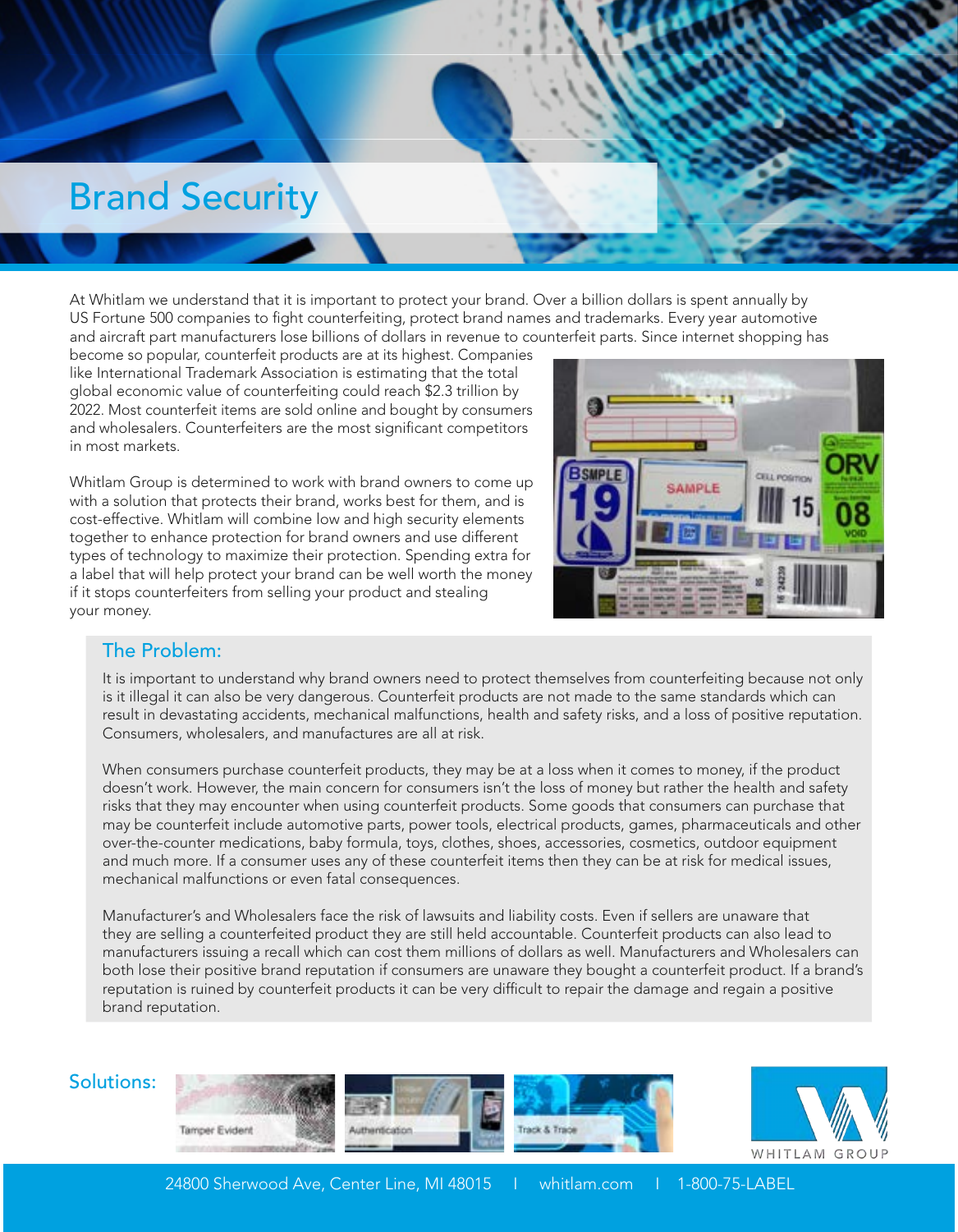## Brand Security

At Whitlam we understand that it is important to protect your brand. Over a billion dollars is spent annually by US Fortune 500 companies to fight counterfeiting, protect brand names and trademarks. Every year automotive and aircraft part manufacturers lose billions of dollars in revenue to counterfeit parts. Since internet shopping has

become so popular, counterfeit products are at its highest. Companies like International Trademark Association is estimating that the total global economic value of counterfeiting could reach \$2.3 trillion by 2022. Most counterfeit items are sold online and bought by consumers and wholesalers. Counterfeiters are the most significant competitors in most markets.

Whitlam Group is determined to work with brand owners to come up with a solution that protects their brand, works best for them, and is cost-effective. Whitlam will combine low and high security elements together to enhance protection for brand owners and use different types of technology to maximize their protection. Spending extra for a label that will help protect your brand can be well worth the money if it stops counterfeiters from selling your product and stealing your money.



#### The Problem:

It is important to understand why brand owners need to protect themselves from counterfeiting because not only is it illegal it can also be very dangerous. Counterfeit products are not made to the same standards which can result in devastating accidents, mechanical malfunctions, health and safety risks, and a loss of positive reputation. Consumers, wholesalers, and manufactures are all at risk.

When consumers purchase counterfeit products, they may be at a loss when it comes to money, if the product doesn't work. However, the main concern for consumers isn't the loss of money but rather the health and safety risks that they may encounter when using counterfeit products. Some goods that consumers can purchase that may be counterfeit include automotive parts, power tools, electrical products, games, pharmaceuticals and other over-the-counter medications, baby formula, toys, clothes, shoes, accessories, cosmetics, outdoor equipment and much more. If a consumer uses any of these counterfeit items then they can be at risk for medical issues, mechanical malfunctions or even fatal consequences.

Manufacturer's and Wholesalers face the risk of lawsuits and liability costs. Even if sellers are unaware that they are selling a counterfeited product they are still held accountable. Counterfeit products can also lead to manufacturers issuing a recall which can cost them millions of dollars as well. Manufacturers and Wholesalers can both lose their positive brand reputation if consumers are unaware they bought a counterfeit product. If a brand's reputation is ruined by counterfeit products it can be very difficult to repair the damage and regain a positive brand reputation.

#### Solutions: